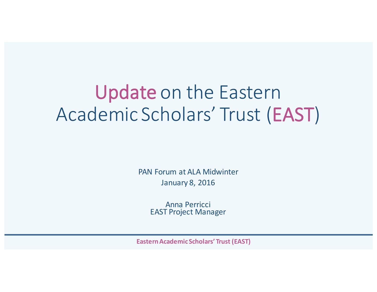# Update on the Eastern Academic Scholars' Trust (EAST)

PAN Forum at ALA Midwinter January 8, 2016

> Anna Perricci **EAST Project Manager**

**Eastern Academic Scholars' Trust (EAST)**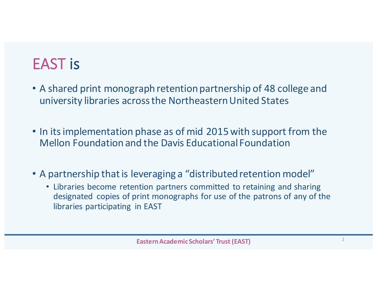## EAST is

- A shared print monograph retention partnership of 48 college and university libraries across the Northeastern United States
- In its implementation phase as of mid 2015 with support from the Mellon Foundation and the Davis Educational Foundation
- A partnership that is leveraging a "distributed retention model"
	- Libraries become retention partners committed to retaining and sharing designated copies of print monographs for use of the patrons of any of the libraries participating in EAST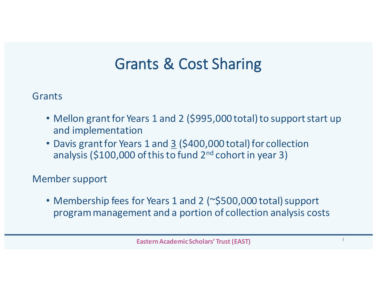### Grants & Cost Sharing

Grants

- Mellon grant for Years 1 and 2 (\$995,000 total) to support start up and implementation
- Davis grant for Years 1 and 3 (\$400,000 total) for collection analysis  $(5100,000$  of this to fund  $2<sup>nd</sup>$  cohort in year 3)

Member support

• Membership fees for Years 1 and 2 (~\$500,000 total) support program management and a portion of collection analysis costs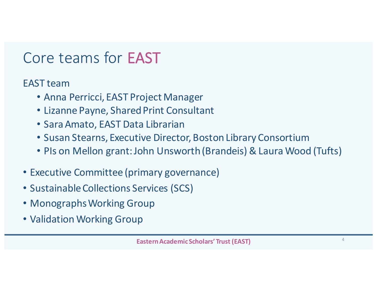### Core teams for **EAST**

EAST team

- Anna Perricci, EAST Project Manager
- Lizanne Payne, Shared Print Consultant
- Sara Amato, EAST Data Librarian
- Susan Stearns, Executive Director, Boston Library Consortium
- PIs on Mellon grant: John Unsworth (Brandeis) & Laura Wood (Tufts)
- Executive Committee (primary governance)
- Sustainable Collections Services (SCS)
- Monographs Working Group
- Validation Working Group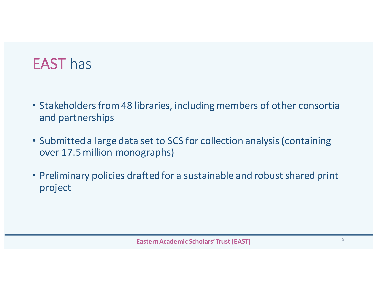### EAST has

- Stakeholders from 48 libraries, including members of other consortia and partnerships
- Submitted a large data set to SCS for collection analysis (containing over 17.5 million monographs)
- Preliminary policies drafted for a sustainable and robust shared print project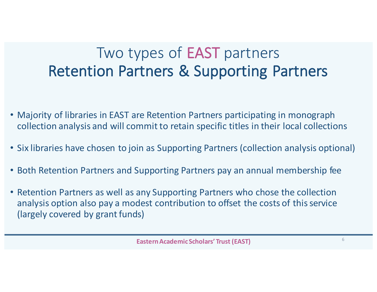### Two types of **EAST** partners **Retention Partners & Supporting Partners**

- Majority of libraries in EAST are Retention Partners participating in monograph collection analysis and will commit to retain specific titles in their local collections
- Six libraries have chosen to join as Supporting Partners (collection analysis optional)
- Both Retention Partners and Supporting Partners pay an annual membership fee
- Retention Partners as well as any Supporting Partners who chose the collection analysis option also pay a modest contribution to offset the costs of this service (largely covered by grant funds)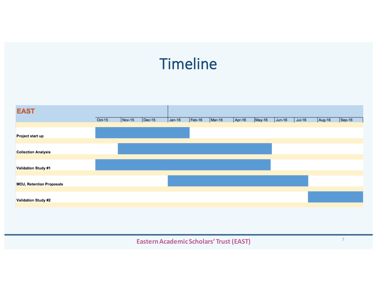## **Timeline**

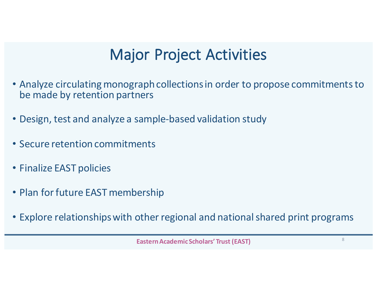### **Major Project Activities**

- Analyze circulating monograph collections in order to propose commitments to be made by retention partners
- Design, test and analyze a sample-based validation study
- Secure retention commitments
- Finalize EAST policies
- Plan for future EAST membership
- Explore relationships with other regional and national shared print programs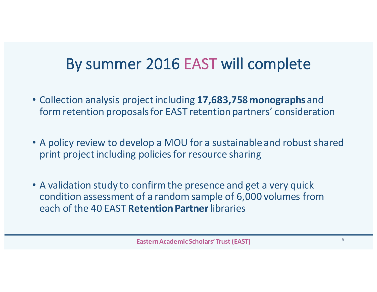### By summer 2016 EAST will complete

- Collection analysis project including 17,683,758 monographs and form retention proposals for EAST retention partners' consideration
- A policy review to develop a MOU for a sustainable and robust shared print project including policies for resource sharing
- A validation study to confirm the presence and get a very quick condition assessment of a random sample of 6,000 volumes from each of the 40 EAST **Retention Partner**libraries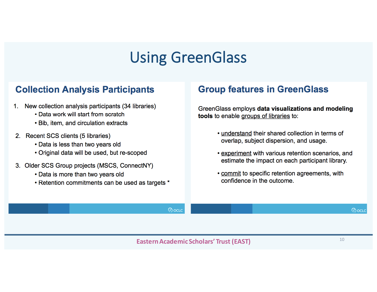### Using GreenGlass

#### **Collection Analysis Participants**

- New collection analysis participants (34 libraries)  $1.$ 
	- Data work will start from scratch
	- Bib, item, and circulation extracts
- 2. Recent SCS clients (5 libraries)
	- Data is less than two years old
	- Original data will be used, but re-scoped
- 3. Older SCS Group projects (MSCS, ConnectNY)
	- Data is more than two years old
	- Retention commitments can be used as targets \*

#### **Group features in GreenGlass**

GreenGlass employs data visualizations and modeling tools to enable groups of libraries to:

- understand their shared collection in terms of overlap, subject dispersion, and usage.
- experiment with various retention scenarios, and estimate the impact on each participant library.
- . commit to specific retention agreements, with confidence in the outcome.

*Rocud* 

**ெ**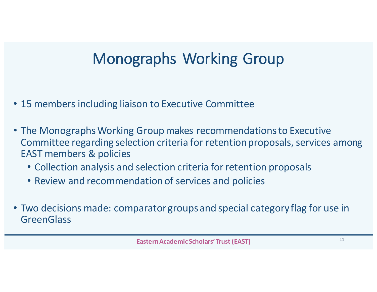## Monographs Working Group

- 15 members including liaison to Executive Committee
- The Monographs Working Group makes recommendations to Executive Committee regarding selection criteria for retention proposals, services among **EAST members & policies** 
	- Collection analysis and selection criteria for retention proposals
	- Review and recommendation of services and policies
- Two decisions made: comparator groups and special category flag for use in **GreenGlass**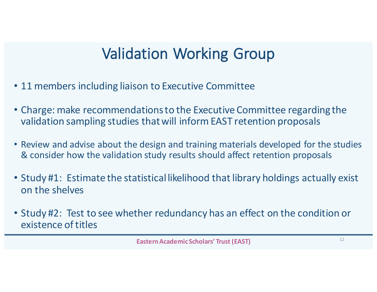## **Validation Working Group**

- 11 members including liaison to Executive Committee
- Charge: make recommendations to the Executive Committee regarding the validation sampling studies that will inform EAST retention proposals
- Review and advise about the design and training materials developed for the studies & consider how the validation study results should affect retention proposals
- Study #1: Estimate the statistical likelihood that library holdings actually exist on the shelves
- Study #2: Test to see whether redundancy has an effect on the condition or existence of titles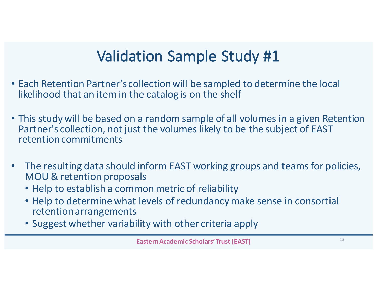## Validation Sample Study #1

- Each Retention Partner's collection will be sampled to determine the local likelihood that an item in the catalog is on the shelf
- This study will be based on a random sample of all volumes in a given Retention Partner's collection, not just the volumes likely to be the subject of EAST retention commitments
- The resulting data should inform EAST working groups and teams for policies, MOU & retention proposals
	- Help to establish a common metric of reliability
	- Help to determine what levels of redundancy make sense in consortial retention arrangements
	- Suggest whether variability with other criteria apply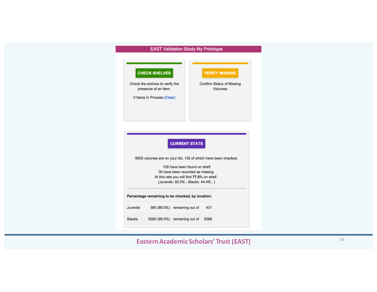#### **EAST Validation Study My Prototype**

|          | <b>CHECK SHELVES</b><br>Check the shelves to verify the                            |                      | <b>VERIFY MISSING</b><br>Confirm Status of Missing |
|----------|------------------------------------------------------------------------------------|----------------------|----------------------------------------------------|
|          | presence of an item.                                                               |                      | Volumes                                            |
|          | 0 Items In Process (Clear)                                                         |                      |                                                    |
|          |                                                                                    |                      |                                                    |
|          |                                                                                    |                      |                                                    |
|          |                                                                                    |                      |                                                    |
|          |                                                                                    |                      |                                                    |
|          |                                                                                    |                      |                                                    |
|          |                                                                                    |                      |                                                    |
|          |                                                                                    |                      |                                                    |
|          |                                                                                    | <b>CURRENT STATS</b> |                                                    |
|          |                                                                                    |                      |                                                    |
|          | 6000 volumes are on your list, 135 of which have been checked.                     |                      |                                                    |
|          | 105 have been found on shelf                                                       |                      |                                                    |
|          | 30 have been recorded as missing                                                   |                      |                                                    |
|          | At this rate you will find 77.0% on shelf.<br>(Juvenile: 50.0% ; Stacks: 44.4% ; ) |                      |                                                    |
|          |                                                                                    |                      |                                                    |
|          | Percentage remaining to be checked, by location:                                   |                      |                                                    |
| Juvenile | 385 (89.0%) remaining out of                                                       |                      | 431                                                |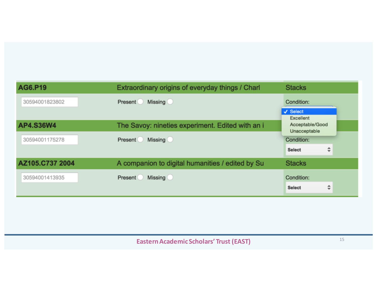| AG6.P19         | Extraordinary origins of everyday things / Charl | <b>Stacks</b>                                  |  |
|-----------------|--------------------------------------------------|------------------------------------------------|--|
| 30594001823802  | <b>Missing</b><br>Present                        | Condition:<br>$\checkmark$ Select<br>Excellent |  |
| AP4.S36W4       | The Savoy: nineties experiment. Edited with an i | Acceptable/Good<br>Unacceptable                |  |
| 30594001175278  | <b>Missing</b><br><b>Present</b>                 | Condition:                                     |  |
|                 |                                                  | ÷<br><b>Select</b>                             |  |
| AZ105.C737 2004 | A companion to digital humanities / edited by Su | <b>Stacks</b>                                  |  |
| 30594001413935  | <b>Missing</b><br><b>Present</b>                 | Condition:                                     |  |
|                 |                                                  | ÷<br><b>Select</b>                             |  |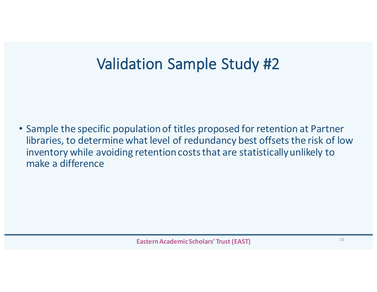## Validation Sample Study #2

• Sample the specific population of titles proposed for retention at Partner libraries, to determine what level of redundancy best offsets the risk of low inventory while avoiding retention costs that are statistically unlikely to make a difference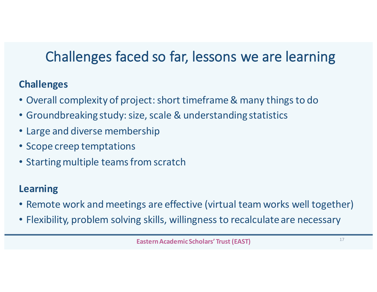### Challenges faced so far, lessons we are learning

### **Challenges**

- Overall complexity of project: short timeframe & many things to do
- Groundbreaking study: size, scale & understanding statistics
- Large and diverse membership
- Scope creep temptations
- Starting multiple teams from scratch

### **Learning**

- Remote work and meetings are effective (virtual team works well together)
- Flexibility, problem solving skills, willingness to recalculate are necessary